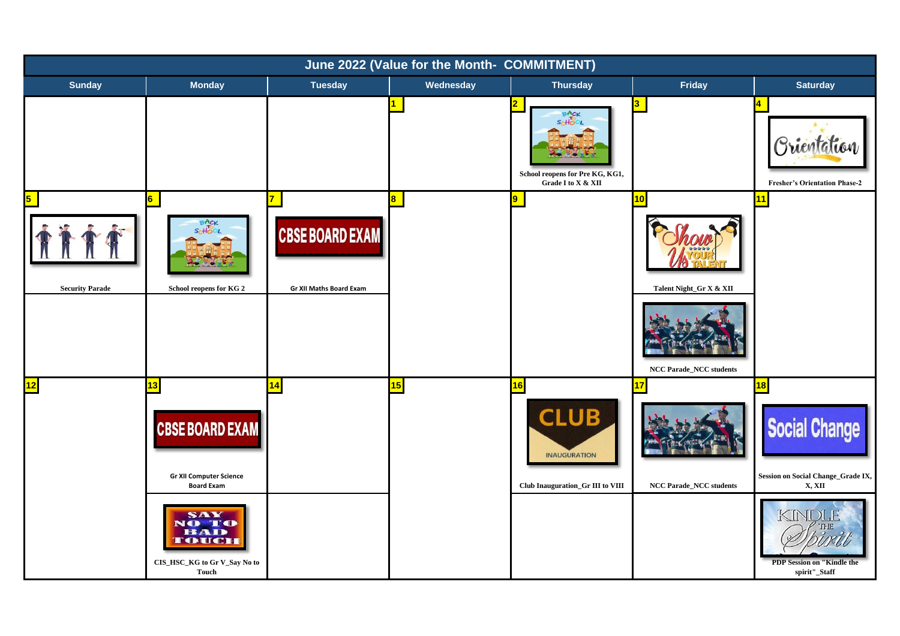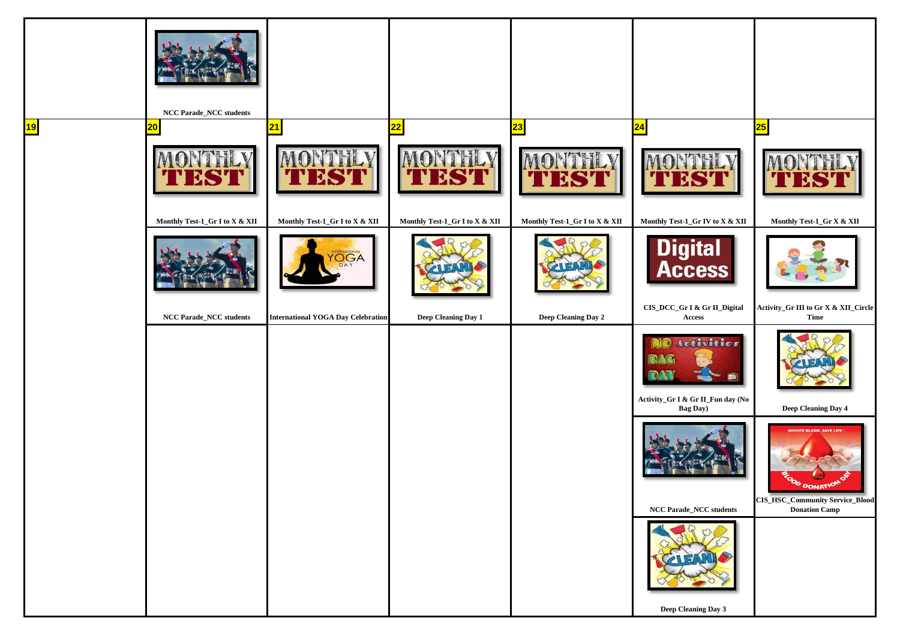|                 | $\operatorname{NCC}$ Parade_NCC students |                                           |                                |                                |                                                                                                   |                                                                                |
|-----------------|------------------------------------------|-------------------------------------------|--------------------------------|--------------------------------|---------------------------------------------------------------------------------------------------|--------------------------------------------------------------------------------|
| $\overline{19}$ | 20                                       | 21                                        | 22                             | 23                             |                                                                                                   | 25                                                                             |
|                 |                                          | <b>EST</b>                                |                                |                                |                                                                                                   |                                                                                |
|                 | Monthly Test-1_Gr I to X & XII           | Monthly Test-1_Gr I to X & XII            | Monthly Test-1_Gr I to X & XII | Monthly Test-1_Gr I to X & XII | Monthly Test-1_Gr IV to X & XII                                                                   | Monthly Test-1_Gr X & XII                                                      |
|                 |                                          | NERNATIONAL<br>DAY                        |                                |                                | Digital<br>Access                                                                                 |                                                                                |
|                 | NCC Parade_NCC students                  | <b>International YOGA Day Celebration</b> | Deep Cleaning Day 1            | Deep Cleaning Day 2            | CIS_DCC_Gr I & Gr II_Digital<br>$\bold{Access}$                                                   | Activity_Gr III to Gr X & XII_Circle<br>Time                                   |
|                 |                                          |                                           |                                |                                | Activities<br>$\omega$<br>$\blacksquare$<br>Activity_Gr I & Gr II_Fun day (No<br><b>Bag Day</b> ) | Deep Cleaning Day 4                                                            |
|                 |                                          |                                           |                                |                                |                                                                                                   | <b>DD, SAVE LIFE!</b><br>OD DONATION<br><b>CIS_HSC_Community Service_Blood</b> |
|                 |                                          |                                           |                                |                                | $\operatorname{NCC}$ Parade_NCC students<br>$\blacksquare$<br>Deep Cleaning Day 3                 | <b>Donation Camp</b>                                                           |